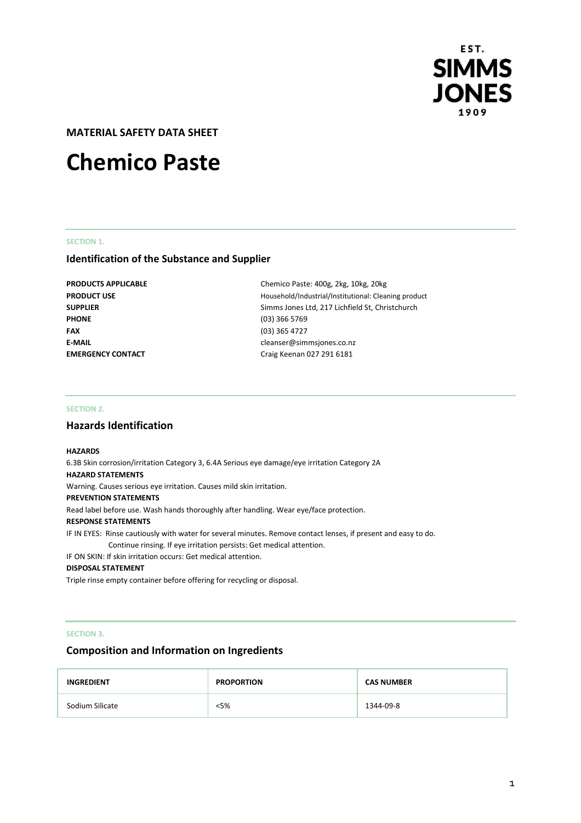

# **MATERIAL SAFETY DATA SHEET**

# **Chemico Paste**

# **SECTION 1.**

# **Identification of the Substance and Supplier**

**PRODUCTS APPLICABLE PRODUCT USE SUPPLIER PHONE FAX E-MAIL EMERGENCY CONTACT**

Chemico Paste: 400g, 2kg, 10kg, 20kg Household/Industrial/Institutional: Cleaning product Simms Jones Ltd, 217 Lichfield St, Christchurch (03) 366 5769 (03) 365 4727 cleanser@simmsjones.co.nz Craig Keenan 027 291 6181

#### **SECTION 2.**

# **Hazards Identification**

#### **HAZARDS**

6.3B Skin corrosion/irritation Category 3, 6.4A Serious eye damage/eye irritation Category 2A **HAZARD STATEMENTS** Warning. Causes serious eye irritation. Causes mild skin irritation. **PREVENTION STATEMENTS** Read label before use. Wash hands thoroughly after handling. Wear eye/face protection. **RESPONSE STATEMENTS** IF IN EYES: Rinse cautiously with water for several minutes. Remove contact lenses, if present and easy to do. Continue rinsing. If eye irritation persists: Get medical attention. IF ON SKIN: If skin irritation occurs: Get medical attention. **DISPOSAL STATEMENT**

Triple rinse empty container before offering for recycling or disposal.

#### **SECTION 3.**

# **Composition and Information on Ingredients**

| <b>INGREDIENT</b> | <b>PROPORTION</b> | <b>CAS NUMBER</b> |
|-------------------|-------------------|-------------------|
| Sodium Silicate   | <5%               | 1344-09-8         |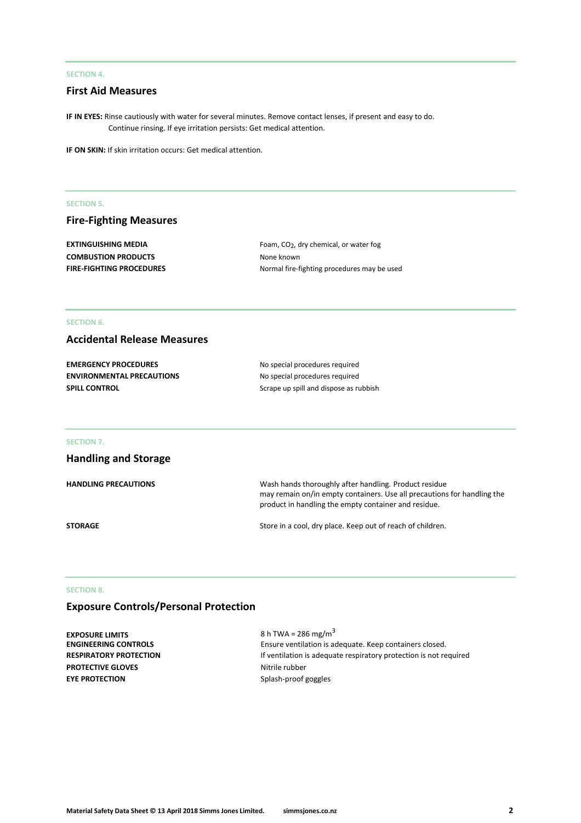#### **SECTION 4.**

# **First Aid Measures**

**IF IN EYES:** Rinse cautiously with water for several minutes. Remove contact lenses, if present and easy to do. Continue rinsing. If eye irritation persists: Get medical attention.

**IF ON SKIN:** If skin irritation occurs: Get medical attention.

#### **SECTION 5.**

# **Fire-Fighting Measures**

**COMBUSTION PRODUCTS** None known

**EXTINGUISHING MEDIA** Foam, CO<sub>2</sub>, dry chemical, or water fog **FIRE-FIGHTING PROCEDURES** Normal fire-fighting procedures may be used

#### **SECTION 6.**

# **Accidental Release Measures**

| <b>EMERGENCY PROCEDURES</b>      | No special procedures required         |
|----------------------------------|----------------------------------------|
| <b>ENVIRONMENTAL PRECAUTIONS</b> | No special procedures required         |
| <b>SPILL CONTROL</b>             | Scrape up spill and dispose as rubbish |

#### **SECTION 7.**

| <b>Handling and Storage</b> |                                                                                                                                                                                          |
|-----------------------------|------------------------------------------------------------------------------------------------------------------------------------------------------------------------------------------|
| <b>HANDLING PRECAUTIONS</b> | Wash hands thoroughly after handling. Product residue<br>may remain on/in empty containers. Use all precautions for handling the<br>product in handling the empty container and residue. |
| <b>STORAGE</b>              | Store in a cool, dry place. Keep out of reach of children.                                                                                                                               |

#### **SECTION 8.**

# **Exposure Controls/Personal Protection**

**EXPOSURE LIMITS** 8 h TWA = 286 mg/m<sup>3</sup><br> **ENGINEERING CONTROLS** Ensure ventilation is ac **PROTECTIVE GLOVES** Nitrile rubber **EYE PROTECTION** Splash-proof goggles

Ensure ventilation is adequate. Keep containers closed. **RESPIRATORY PROTECTION** If ventilation is adequate respiratory protection is not required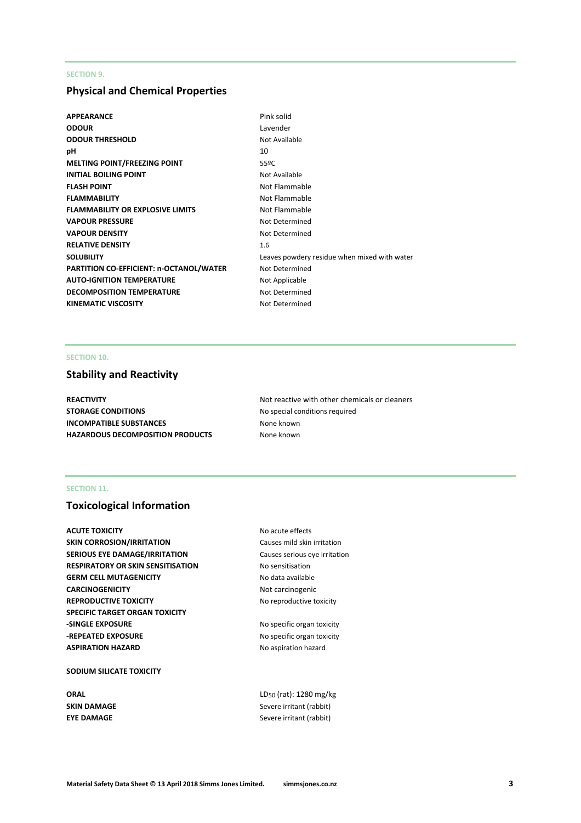# **SECTION 9.**

# **Physical and Chemical Properties**

| APPEARANCE                                     | Pink solid                                   |
|------------------------------------------------|----------------------------------------------|
| ODOUR                                          | Lavender                                     |
| ODOUR THRESHOLD                                | Not Available                                |
| pН                                             | 10                                           |
| <b>MELTING POINT/FREEZING POINT</b>            | 55ºC                                         |
| <b>INITIAL BOILING POINT</b>                   | Not Available                                |
| <b>FLASH POINT</b>                             | Not Flammable                                |
| <b>FLAMMABILITY</b>                            | Not Flammable                                |
| <b>FLAMMABILITY OR EXPLOSIVE LIMITS</b>        | Not Flammable                                |
| VAPOUR PRESSURE                                | Not Determined                               |
| <b>VAPOUR DENSITY</b>                          | Not Determined                               |
| <b>RELATIVE DENSITY</b>                        | 1.6                                          |
| SOLUBILITY                                     | Leaves powdery residue when mixed with water |
| <b>PARTITION CO-EFFICIENT: n-OCTANOL/WATER</b> | Not Determined                               |
| <b>AUTO-IGNITION TEMPERATURE</b>               | Not Applicable                               |
| <b>DECOMPOSITION TEMPERATURE</b>               | Not Determined                               |
| KINEMATIC VISCOSITY                            | Not Determined                               |
|                                                |                                              |

# **SECTION 10.**

# **Stability and Reactivity**

**STORAGE CONDITIONS** No special conditions required **INCOMPATIBLE SUBSTANCES** None known **HAZARDOUS DECOMPOSITION PRODUCTS** None known

**REACTIVITY REACTIVITY Not reactive with other chemicals or cleaners** 

# **SECTION 11.**

# **Toxicological Information**

**ACUTE TOXICITY No acute effects SKIN CORROSION/IRRITATION** Causes mild skin irritation **SERIOUS EYE DAMAGE/IRRITATION** Causes serious eye irritation **RESPIRATORY OR SKIN SENSITISATION No sensitisation GERM CELL MUTAGENICITY** No data available **CARCINOGENICITY** Not carcinogenic **REPRODUCTIVE TOXICITY** No reproductive toxicity **SPECIFIC TARGET ORGAN TOXICITY -SINGLE EXPOSURE CONSERVING A REACT AND SPECIFIC ORDER IN STRUCK STATE -REPEATED EXPOSURE** No specific organ toxicity **ASPIRATION HAZARD** No aspiration hazard

#### **SODIUM SILICATE TOXICITY**

**ORAL** LD<sub>50</sub> (rat): 1280 mg/kg **SKIN DAMAGE** Severe irritant (rabbit) **EYE DAMAGE** Severe irritant (rabbit)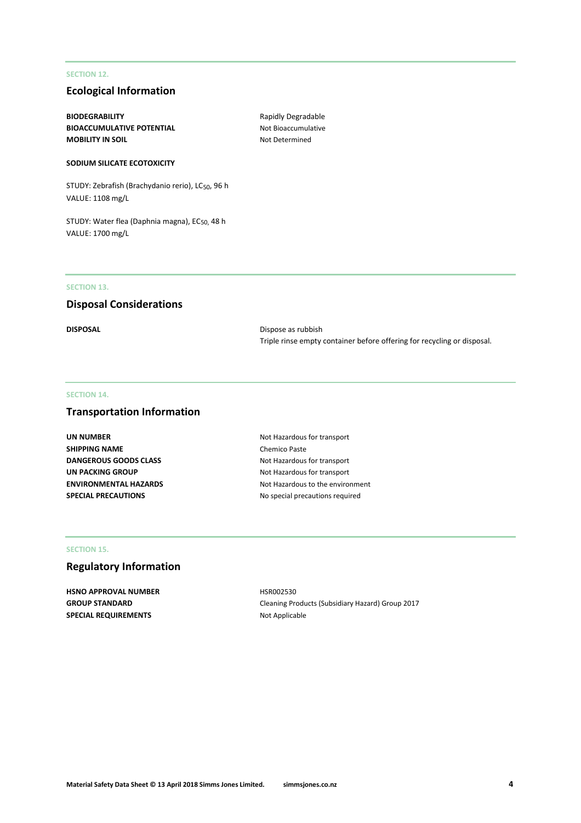# **SECTION 12.**

# **Ecological Information**

**BIODEGRABILITY** Rapidly Degradable **BIOACCUMULATIVE POTENTIAL** Not Bioaccumulative **MOBILITY IN SOIL** MOBILITY IN SOIL

# **SODIUM SILICATE ECOTOXICITY**

STUDY: Zebrafish (Brachydanio rerio), LC<sub>50</sub>, 96 h VALUE: 1108 mg/L

STUDY: Water flea (Daphnia magna), EC<sub>50,</sub> 48 h VALUE: 1700 mg/L

#### **SECTION 13.**

# **Disposal Considerations**

**DISPOSAL** Dispose as rubbish Triple rinse empty container before offering for recycling or disposal.

#### **SECTION 14.**

# **Transportation Information**

**UN NUMBER** Not Hazardous for transport **SHIPPING NAME** Chemico Paste **DANGEROUS GOODS CLASS** Not Hazardous for transport **UN PACKING GROUP** Not Hazardous for transport **SPECIAL PRECAUTIONS** No special precautions required

**ENVIRONMENTAL HAZARDS** Not Hazardous to the environment

### **SECTION 15.**

# **Regulatory Information**

**HSNO APPROVAL NUMBER** HSR002530 **SPECIAL REQUIREMENTS** Not Applicable

**GROUP STANDARD** Cleaning Products (Subsidiary Hazard) Group 2017